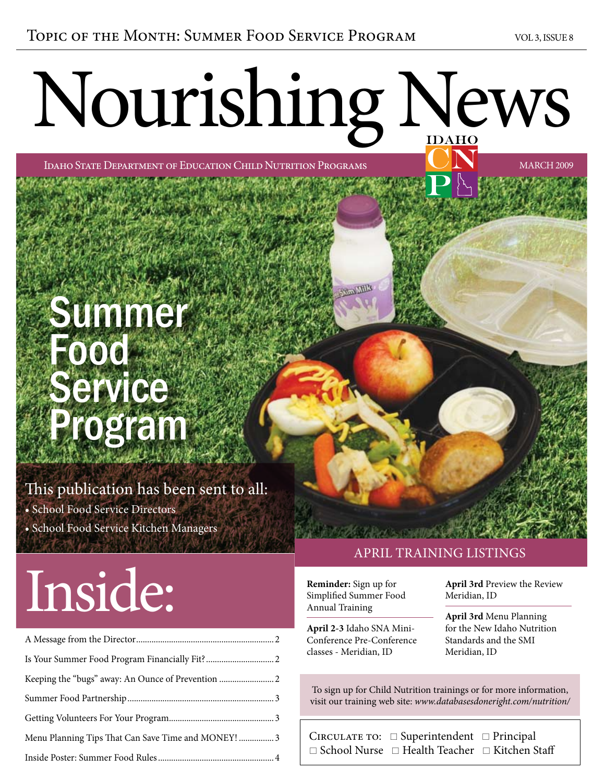# Nourishing News

Idaho State Department of Education Child Nutrition Programs march 2009

### Summer DOO Service Program

#### This publication has been sent to all:

- School Food Service Directors
- School Food Service Kitchen Managers

## Inside:

| Menu Planning Tips That Can Save Time and MONEY!  3 |  |
|-----------------------------------------------------|--|
|                                                     |  |

#### april training listings

**Reminder:** Sign up for Simplified Summer Food Annual Training

**April 2-3** Idaho SNA Mini-Conference Pre-Conference classes - Meridian, ID

**April 3rd** Preview the Review Meridian, ID

**April 3rd** Menu Planning for the New Idaho Nutrition Standards and the SMI Meridian, ID

To sign up for Child Nutrition trainings or for more information, visit our training web site: *www.databasesdoneright.com/nutrition/*

CIRCULATE TO:  $\Box$  Superintendent  $\Box$  Principal  $\Box$  School Nurse  $\Box$  Health Teacher  $\Box$  Kitchen Staff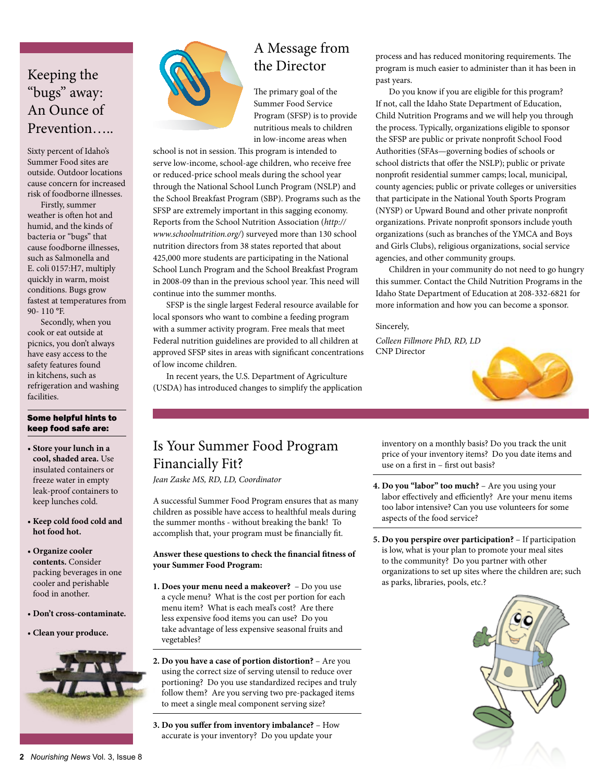#### Keeping the "bugs" away: An Ounce of Prevention…..

Sixty percent of Idaho's Summer Food sites are outside. Outdoor locations cause concern for increased risk of foodborne illnesses.

Firstly, summer weather is often hot and humid, and the kinds of bacteria or "bugs" that cause foodborne illnesses, such as Salmonella and E. coli 0157:H7, multiply quickly in warm, moist conditions. Bugs grow fastest at temperatures from 90- 110 °F.

Secondly, when you cook or eat outside at picnics, you don't always have easy access to the safety features found in kitchens, such as refrigeration and washing facilities.

#### Some helpful hints to keep food safe are:

- **Store your lunch in a cool, shaded area.** Use insulated containers or freeze water in empty leak-proof containers to keep lunches cold.
- **Keep cold food cold and hot food hot.**
- **Organize cooler contents.** Consider packing beverages in one cooler and perishable food in another.
- **Don't cross-contaminate.**
- **Clean your produce.**





#### A Message from the Director

The primary goal of the Summer Food Service Program (SFSP) is to provide nutritious meals to children in low-income areas when

school is not in session. This program is intended to serve low-income, school-age children, who receive free or reduced-price school meals during the school year through the National School Lunch Program (NSLP) and the School Breakfast Program (SBP). Programs such as the SFSP are extremely important in this sagging economy. Reports from the School Nutrition Association (*http:// www.schoolnutrition.org/*) surveyed more than 130 school nutrition directors from 38 states reported that about 425,000 more students are participating in the National School Lunch Program and the School Breakfast Program in 2008-09 than in the previous school year. This need will continue into the summer months.

SFSP is the single largest Federal resource available for local sponsors who want to combine a feeding program with a summer activity program. Free meals that meet Federal nutrition guidelines are provided to all children at approved SFSP sites in areas with significant concentrations of low income children.

In recent years, the U.S. Department of Agriculture (USDA) has introduced changes to simplify the application process and has reduced monitoring requirements. The program is much easier to administer than it has been in past years.

Do you know if you are eligible for this program? If not, call the Idaho State Department of Education, Child Nutrition Programs and we will help you through the process. Typically, organizations eligible to sponsor the SFSP are public or private nonprofit School Food Authorities (SFAs—governing bodies of schools or school districts that offer the NSLP); public or private nonprofit residential summer camps; local, municipal, county agencies; public or private colleges or universities that participate in the National Youth Sports Program (NYSP) or Upward Bound and other private nonprofit organizations. Private nonprofit sponsors include youth organizations (such as branches of the YMCA and Boys and Girls Clubs), religious organizations, social service agencies, and other community groups.

Children in your community do not need to go hungry this summer. Contact the Child Nutrition Programs in the Idaho State Department of Education at 208-332-6821 for more information and how you can become a sponsor.

#### Sincerely,

*Colleen Fillmore PhD, RD, LD* CNP Director



#### Is Your Summer Food Program Financially Fit?

*Jean Zaske MS, RD, LD, Coordinator*

A successful Summer Food Program ensures that as many children as possible have access to healthful meals during the summer months - without breaking the bank! To accomplish that, your program must be financially fit.

#### **Answer these questions to check the financial fitness of your Summer Food Program:**

- **1. Does your menu need a makeover?** Do you use a cycle menu? What is the cost per portion for each menu item? What is each meal's cost? Are there less expensive food items you can use? Do you take advantage of less expensive seasonal fruits and vegetables?
- **2. Do you have a case of portion distortion?** Are you using the correct size of serving utensil to reduce over portioning? Do you use standardized recipes and truly follow them? Are you serving two pre-packaged items to meet a single meal component serving size?
- **3. Do you suffer from inventory imbalance?** How accurate is your inventory? Do you update your

inventory on a monthly basis? Do you track the unit price of your inventory items? Do you date items and use on a first in – first out basis?

- **4. Do you "labor" too much?** Are you using your labor effectively and efficiently? Are your menu items too labor intensive? Can you use volunteers for some aspects of the food service?
- **5. Do you perspire over participation?** If participation is low, what is your plan to promote your meal sites to the community? Do you partner with other organizations to set up sites where the children are; such as parks, libraries, pools, etc.?

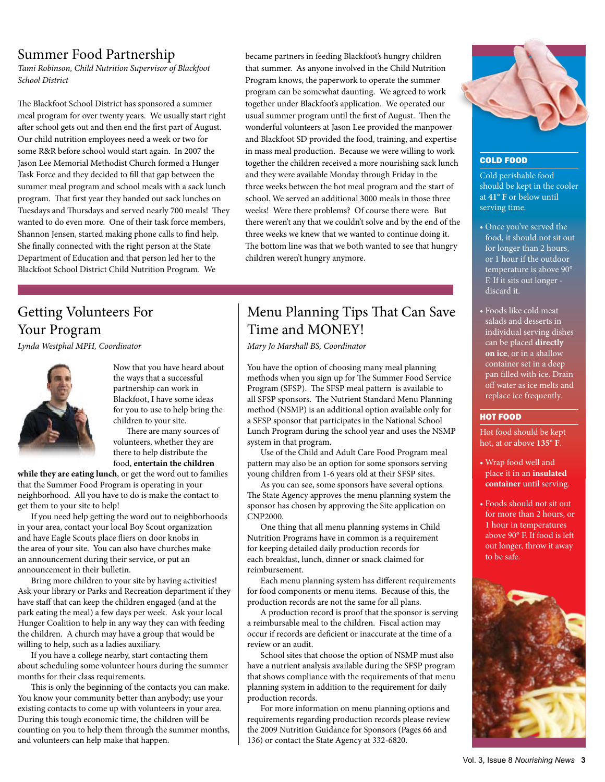#### Summer Food Partnership

*Tami Robinson, Child Nutrition Supervisor of Blackfoot School District*

The Blackfoot School District has sponsored a summer meal program for over twenty years. We usually start right after school gets out and then end the first part of August. Our child nutrition employees need a week or two for some R&R before school would start again. In 2007 the Jason Lee Memorial Methodist Church formed a Hunger Task Force and they decided to fill that gap between the summer meal program and school meals with a sack lunch program. That first year they handed out sack lunches on Tuesdays and Thursdays and served nearly 700 meals! They wanted to do even more. One of their task force members, Shannon Jensen, started making phone calls to find help. She finally connected with the right person at the State Department of Education and that person led her to the Blackfoot School District Child Nutrition Program. We

became partners in feeding Blackfoot's hungry children that summer. As anyone involved in the Child Nutrition Program knows, the paperwork to operate the summer program can be somewhat daunting. We agreed to work together under Blackfoot's application. We operated our usual summer program until the first of August. Then the wonderful volunteers at Jason Lee provided the manpower and Blackfoot SD provided the food, training, and expertise in mass meal production. Because we were willing to work together the children received a more nourishing sack lunch and they were available Monday through Friday in the three weeks between the hot meal program and the start of school. We served an additional 3000 meals in those three weeks! Were there problems? Of course there were. But there weren't any that we couldn't solve and by the end of the three weeks we knew that we wanted to continue doing it. The bottom line was that we both wanted to see that hungry children weren't hungry anymore.

#### Getting Volunteers For Your Program

*Lynda Westphal MPH, Coordinator*



Now that you have heard about the ways that a successful partnership can work in Blackfoot, I have some ideas for you to use to help bring the children to your site.

There are many sources of volunteers, whether they are there to help distribute the food, **entertain the children** 

**while they are eating lunch**, or get the word out to families that the Summer Food Program is operating in your neighborhood. All you have to do is make the contact to get them to your site to help!

If you need help getting the word out to neighborhoods in your area, contact your local Boy Scout organization and have Eagle Scouts place fliers on door knobs in the area of your site. You can also have churches make an announcement during their service, or put an announcement in their bulletin.

Bring more children to your site by having activities! Ask your library or Parks and Recreation department if they have staff that can keep the children engaged (and at the park eating the meal) a few days per week. Ask your local Hunger Coalition to help in any way they can with feeding the children. A church may have a group that would be willing to help, such as a ladies auxiliary.

If you have a college nearby, start contacting them about scheduling some volunteer hours during the summer months for their class requirements.

This is only the beginning of the contacts you can make. You know your community better than anybody; use your existing contacts to come up with volunteers in your area. During this tough economic time, the children will be counting on you to help them through the summer months, and volunteers can help make that happen.

#### Menu Planning Tips That Can Save Time and MONEY!

*Mary Jo Marshall BS, Coordinator*

You have the option of choosing many meal planning methods when you sign up for The Summer Food Service Program (SFSP). The SFSP meal pattern is available to all SfsP sponsors. The Nutrient Standard Menu Planning method (NSMP) is an additional option available only for a SfsP sponsor that participates in the National School Lunch Program during the school year and uses the NSMP system in that program.

Use of the Child and Adult Care Food Program meal pattern may also be an option for some sponsors serving young children from 1-6 years old at their SFSP sites.

As you can see, some sponsors have several options. The State Agency approves the menu planning system the sponsor has chosen by approving the Site application on CNP2000.

One thing that all menu planning systems in Child Nutrition Programs have in common is a requirement for keeping detailed daily production records for each breakfast, lunch, dinner or snack claimed for reimbursement.

Each menu planning system has different requirements for food components or menu items. Because of this, the production records are not the same for all plans.

A production record is proof that the sponsor is serving a reimbursable meal to the children. Fiscal action may occur if records are deficient or inaccurate at the time of a review or an audit.

School sites that choose the option of NSMP must also have a nutrient analysis available during the SfsP program that shows compliance with the requirements of that menu planning system in addition to the requirement for daily production records.

For more information on menu planning options and requirements regarding production records please review the 2009 Nutrition Guidance for Sponsors (Pages 66 and 136) or contact the State Agency at 332-6820.



COLD FOOD

Cold perishable food should be kept in the cooler at **41° F** or below until serving time.

- Once you've served the food, it should not sit out for longer than 2 hours, or 1 hour if the outdoor temperature is above 90° F. If it sits out longer discard it.
- Foods like cold meat salads and desserts in individual serving dishes can be placed **directly on ice**, or in a shallow container set in a deep pan filled with ice. Drain off water as ice melts and replace ice frequently.

#### HOT FOOD

Hot food should be kept hot, at or above **135° F**.

- Wrap food well and place it in an **insulated container** until serving.
- Foods should not sit out for more than 2 hours, or 1 hour in temperatures above 90° F. If food is left out longer, throw it away to be safe.